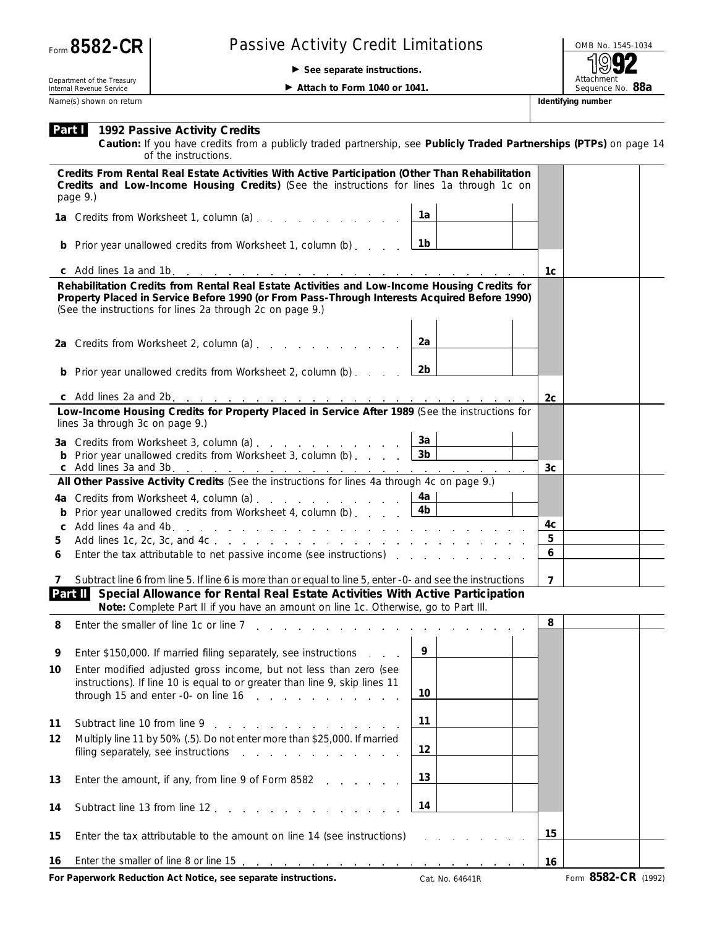## Passive Activity Credit Limitations **DEPAID No. 1545-1034**

© **See separate instructions.**

Attachment<br>Sequence No. 88a

Department of the Treasury Internal Revenue Service **Name(s) shown on return** 

▶ Attach to Form 1040 or 1041.<br>
Sequence **No. 88**<br> **Identifying number** 

**Caution:** *If you have credits from a publicly traded partnership, see Publicly Traded Partnerships (PTPs) on page 14 of the instructions.*

| Credits From Rental Real Estate Activities With Active Participation (Other Than Rehabilitation<br>Credits and Low-Income Housing Credits) (See the instructions for lines 1a through 1c on<br>page 9.) |                                                                                                                                                                                                                                                                                                                      |      |                  |  |  |
|---------------------------------------------------------------------------------------------------------------------------------------------------------------------------------------------------------|----------------------------------------------------------------------------------------------------------------------------------------------------------------------------------------------------------------------------------------------------------------------------------------------------------------------|------|------------------|--|--|
|                                                                                                                                                                                                         | 1a Credits from Worksheet 1, column (a) [19] Credits from Worksheet 1, column (a)                                                                                                                                                                                                                                    | 1а   |                  |  |  |
| b                                                                                                                                                                                                       | Prior year unallowed credits from Worksheet 1, column (b)                                                                                                                                                                                                                                                            | 1b   |                  |  |  |
|                                                                                                                                                                                                         |                                                                                                                                                                                                                                                                                                                      |      | 1c               |  |  |
|                                                                                                                                                                                                         | Rehabilitation Credits from Rental Real Estate Activities and Low-Income Housing Credits for<br>Property Placed in Service Before 1990 (or From Pass-Through Interests Acquired Before 1990)<br>(See the instructions for lines 2a through 2c on page 9.)                                                            |      |                  |  |  |
|                                                                                                                                                                                                         | 2a Credits from Worksheet 2, column (a)                                                                                                                                                                                                                                                                              | 2a   |                  |  |  |
| b                                                                                                                                                                                                       | Prior year unallowed credits from Worksheet 2, column (b)                                                                                                                                                                                                                                                            | 2b   |                  |  |  |
|                                                                                                                                                                                                         |                                                                                                                                                                                                                                                                                                                      |      | 2с               |  |  |
|                                                                                                                                                                                                         | Low-Income Housing Credits for Property Placed in Service After 1989 (See the instructions for<br>lines 3a through 3c on page 9.)                                                                                                                                                                                    |      |                  |  |  |
|                                                                                                                                                                                                         | 3a Credits from Worksheet 3, column (a) $\ldots$ $\ldots$ $\ldots$                                                                                                                                                                                                                                                   | 3a   |                  |  |  |
|                                                                                                                                                                                                         | <b>b</b> Prior year unallowed credits from Worksheet 3, column (b) $\ldots$ $\begin{array}{ccc} 3b & \text{ } \\ 2b & \text{ } \end{array}$                                                                                                                                                                          |      |                  |  |  |
|                                                                                                                                                                                                         | c Add lines 3a and 3b. $\frac{1}{1}$ . $\frac{1}{1}$ . $\frac{1}{1}$ . $\frac{1}{1}$ . $\frac{1}{1}$ . $\frac{1}{1}$ . $\frac{1}{1}$ . $\frac{1}{1}$ . $\frac{1}{1}$ . $\frac{1}{1}$ . $\frac{1}{1}$ . $\frac{1}{1}$<br>All Other Passive Activity Credits (See the instructions for lines 4a through 4c on page 9.) |      | 3 <sub>c</sub>   |  |  |
|                                                                                                                                                                                                         |                                                                                                                                                                                                                                                                                                                      | 4a l |                  |  |  |
|                                                                                                                                                                                                         | Prior year unallowed credits from Worksheet 4, column (b) $\ldots$ $\boxed{4b}$                                                                                                                                                                                                                                      |      |                  |  |  |
| b<br>C                                                                                                                                                                                                  | Add lines 4a and 4b.<br>the contract of the contract of the contract of the contract of the contract of the contract of the contract of                                                                                                                                                                              |      | 4с               |  |  |
| 5                                                                                                                                                                                                       |                                                                                                                                                                                                                                                                                                                      |      | 5                |  |  |
| 6                                                                                                                                                                                                       | Enter the tax attributable to net passive income (see instructions)                                                                                                                                                                                                                                                  |      | $\boldsymbol{6}$ |  |  |
| 7                                                                                                                                                                                                       | Subtract line 6 from line 5. If line 6 is more than or equal to line 5, enter -0- and see the instructions                                                                                                                                                                                                           |      | $\overline{7}$   |  |  |
| Part II Special Allowance for Rental Real Estate Activities With Active Participation<br>Note: Complete Part II if you have an amount on line 1c. Otherwise, go to Part III.                            |                                                                                                                                                                                                                                                                                                                      |      |                  |  |  |
| 8                                                                                                                                                                                                       | Enter the smaller of line 1c or line 7                                                                                                                                                                                                                                                                               |      | 8                |  |  |
| 9                                                                                                                                                                                                       | Enter \$150,000. If married filing separately, see instructions                                                                                                                                                                                                                                                      | - 9  |                  |  |  |
| 10                                                                                                                                                                                                      | Enter modified adjusted gross income, but not less than zero (see                                                                                                                                                                                                                                                    |      |                  |  |  |
|                                                                                                                                                                                                         | instructions). If line 10 is equal to or greater than line 9, skip lines 11<br>through 15 and enter $-0$ - on line $16$                                                                                                                                                                                              | 10   |                  |  |  |
| 11                                                                                                                                                                                                      | Subtract line 10 from line 9<br>and the contract of the contract of the con-                                                                                                                                                                                                                                         | 11   |                  |  |  |
| 12                                                                                                                                                                                                      | Multiply line 11 by 50% (.5). Do not enter more than \$25,000. If married<br>filing separately, see instructions<br>the contract of the contract of the con-                                                                                                                                                         | 12   |                  |  |  |
| 13                                                                                                                                                                                                      | Enter the amount, if any, from line 9 of Form 8582                                                                                                                                                                                                                                                                   | 13   |                  |  |  |
| 14                                                                                                                                                                                                      | Subtract line 13 from line 12.                                                                                                                                                                                                                                                                                       | 14   |                  |  |  |
| 15                                                                                                                                                                                                      | Enter the tax attributable to the amount on line 14 (see instructions)                                                                                                                                                                                                                                               |      | 15               |  |  |
| 16                                                                                                                                                                                                      |                                                                                                                                                                                                                                                                                                                      |      | 16               |  |  |
|                                                                                                                                                                                                         |                                                                                                                                                                                                                                                                                                                      |      |                  |  |  |

**For Paperwork Reduction Act Notice, see separate instructions.** Cat. No. 64641R Form 8582-CR (1992)